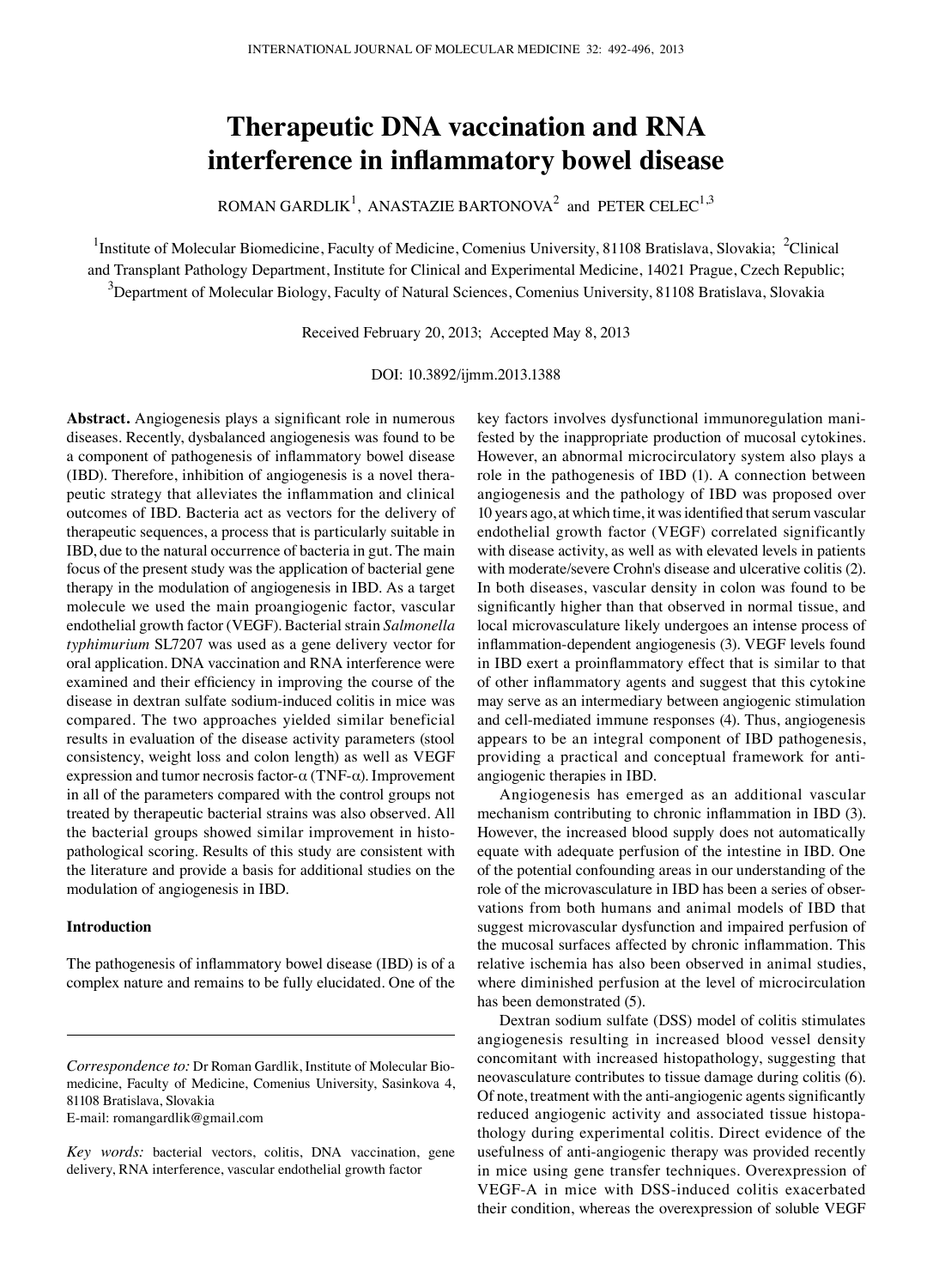# **Therapeutic DNA vaccination and RNA interference in inflammatory bowel disease**

ROMAN GARDLIK<sup>1</sup>, ANASTAZIE BARTONOVA<sup>2</sup> and PETER CELEC<sup>1,3</sup>

<sup>1</sup>Institute of Molecular Biomedicine, Faculty of Medicine, Comenius University, 81108 Bratislava, Slovakia; <sup>2</sup>Clinical and Transplant Pathology Department, Institute for Clinical and Experimental Medicine, 14021 Prague, Czech Republic;  $^3$ Department of Molecular Biology, Faculty of Natural Sciences, Comenius University, 81108 Bratislava, Slovakia

Received February 20, 2013; Accepted May 8, 2013

DOI: 10.3892/ijmm.2013.1388

**Abstract.** Angiogenesis plays a significant role in numerous diseases. Recently, dysbalanced angiogenesis was found to be a component of pathogenesis of inflammatory bowel disease (IBD). Therefore, inhibition of angiogenesis is a novel therapeutic strategy that alleviates the inflammation and clinical outcomes of IBD. Bacteria act as vectors for the delivery of therapeutic sequences, a process that is particularly suitable in IBD, due to the natural occurrence of bacteria in gut. The main focus of the present study was the application of bacterial gene therapy in the modulation of angiogenesis in IBD. As a target molecule we used the main proangiogenic factor, vascular endothelial growth factor (VEGF). Bacterial strain *Salmonella typhimurium* SL7207 was used as a gene delivery vector for oral application. DNA vaccination and RNA interference were examined and their efficiency in improving the course of the disease in dextran sulfate sodium-induced colitis in mice was compared. The two approaches yielded similar beneficial results in evaluation of the disease activity parameters (stool consistency, weight loss and colon length) as well as VEGF expression and tumor necrosis factor-α (TNF-α). Improvement in all of the parameters compared with the control groups not treated by therapeutic bacterial strains was also observed. All the bacterial groups showed similar improvement in histopathological scoring. Results of this study are consistent with the literature and provide a basis for additional studies on the modulation of angiogenesis in IBD.

# **Introduction**

The pathogenesis of inflammatory bowel disease (IBD) is of a complex nature and remains to be fully elucidated. One of the

*Correspondence to:* Dr Roman Gardlik, Institute of Molecular Biomedicine, Faculty of Medicine, Comenius University, Sasinkova 4, 81108 Bratislava, Slovakia E-mail: romangardlik@gmail.com

*Key words:* bacterial vectors, colitis, DNA vaccination, gene delivery, RNA interference, vascular endothelial growth factor

key factors involves dysfunctional immunoregulation manifested by the inappropriate production of mucosal cytokines. However, an abnormal microcirculatory system also plays a role in the pathogenesis of IBD (1). A connection between angiogenesis and the pathology of IBD was proposed over 10 years ago, at which time, it was identified that serum vascular endothelial growth factor (VEGF) correlated significantly with disease activity, as well as with elevated levels in patients with moderate/severe Crohn's disease and ulcerative colitis (2). In both diseases, vascular density in colon was found to be significantly higher than that observed in normal tissue, and local microvasculature likely undergoes an intense process of inflammation-dependent angiogenesis (3). VEGF levels found in IBD exert a proinflammatory effect that is similar to that of other inflammatory agents and suggest that this cytokine may serve as an intermediary between angiogenic stimulation and cell-mediated immune responses (4). Thus, angiogenesis appears to be an integral component of IBD pathogenesis, providing a practical and conceptual framework for antiangiogenic therapies in IBD.

Angiogenesis has emerged as an additional vascular mechanism contributing to chronic inflammation in IBD (3). However, the increased blood supply does not automatically equate with adequate perfusion of the intestine in IBD. One of the potential confounding areas in our understanding of the role of the microvasculature in IBD has been a series of observations from both humans and animal models of IBD that suggest microvascular dysfunction and impaired perfusion of the mucosal surfaces affected by chronic inflammation. This relative ischemia has also been observed in animal studies, where diminished perfusion at the level of microcirculation has been demonstrated (5).

Dextran sodium sulfate (DSS) model of colitis stimulates angiogenesis resulting in increased blood vessel density concomitant with increased histopathology, suggesting that neovasculature contributes to tissue damage during colitis (6). Of note, treatment with the anti-angiogenic agents significantly reduced angiogenic activity and associated tissue histopathology during experimental colitis. Direct evidence of the usefulness of anti-angiogenic therapy was provided recently in mice using gene transfer techniques. Overexpression of VEGF-A in mice with DSS-induced colitis exacerbated their condition, whereas the overexpression of soluble VEGF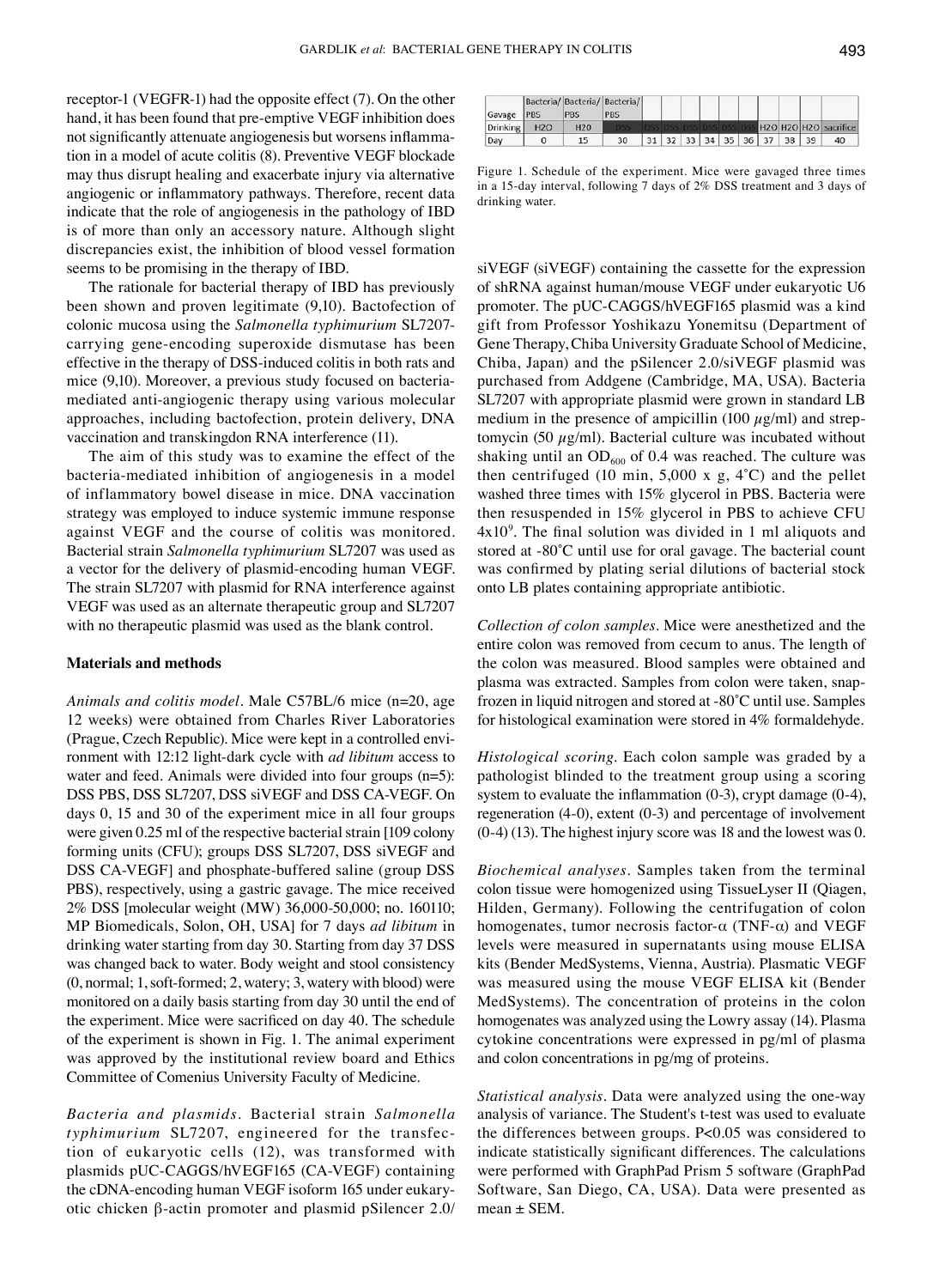receptor-1 (VEGFR-1) had the opposite effect (7). On the other hand, it has been found that pre-emptive VEGF inhibition does not significantly attenuate angiogenesis but worsens inflammation in a model of acute colitis (8). Preventive VEGF blockade may thus disrupt healing and exacerbate injury via alternative angiogenic or inflammatory pathways. Therefore, recent data indicate that the role of angiogenesis in the pathology of IBD is of more than only an accessory nature. Although slight discrepancies exist, the inhibition of blood vessel formation seems to be promising in the therapy of IBD.

The rationale for bacterial therapy of IBD has previously been shown and proven legitimate (9,10). Bactofection of colonic mucosa using the *Salmonella typhimurium* SL7207 carrying gene‑encoding superoxide dismutase has been effective in the therapy of DSS-induced colitis in both rats and mice (9,10). Moreover, a previous study focused on bacteriamediated anti-angiogenic therapy using various molecular approaches, including bactofection, protein delivery, DNA vaccination and transkingdon RNA interference (11).

The aim of this study was to examine the effect of the bacteria‑mediated inhibition of angiogenesis in a model of inflammatory bowel disease in mice. DNA vaccination strategy was employed to induce systemic immune response against VEGF and the course of colitis was monitored. Bacterial strain *Salmonella typhimurium* SL7207 was used as a vector for the delivery of plasmid‑encoding human VEGF. The strain SL7207 with plasmid for RNA interference against VEGF was used as an alternate therapeutic group and SL7207 with no therapeutic plasmid was used as the blank control.

#### **Materials and methods**

*Animals and colitis model.* Male C57BL/6 mice (n=20, age 12 weeks) were obtained from Charles River Laboratories (Prague, Czech Republic). Mice were kept in a controlled environment with 12:12 light-dark cycle with *ad libitum* access to water and feed. Animals were divided into four groups  $(n=5)$ : DSS PBS, DSS SL7207, DSS siVEGF and DSS CA-VEGF. On days 0, 15 and 30 of the experiment mice in all four groups were given 0.25 ml of the respective bacterial strain [109 colony forming units (CFU); groups DSS SL7207, DSS siVEGF and DSS CA-VEGF] and phosphate-buffered saline (group DSS PBS), respectively, using a gastric gavage. The mice received 2% DSS [molecular weight (MW) 36,000-50,000; no. 160110; MP Biomedicals, Solon, OH, USA] for 7 days *ad libitum* in drinking water starting from day 30. Starting from day 37 DSS was changed back to water. Body weight and stool consistency (0, normal; 1, soft‑formed; 2, watery; 3, watery with blood) were monitored on a daily basis starting from day 30 until the end of the experiment. Mice were sacrificed on day 40. The schedule of the experiment is shown in Fig. 1. The animal experiment was approved by the institutional review board and Ethics Committee of Comenius University Faculty of Medicine.

*Bacteria and plasmids.* Bacterial strain *Salmonella typhimurium* SL7207, engineered for the transfection of eukaryotic cells (12), was transformed with plasmids pUC-CAGGS/hVEGF165 (CA-VEGF) containing the cDNA‑encoding human VEGF isoform 165 under eukaryotic chicken β-actin promoter and plasmid pSilencer 2.0/

| Gavage   | <b>PBS</b> | <b>PBS</b> | Bacteria/ Bacteria/ Bacteria/<br><b>PBS</b> |    |  |  |                               |    |    |                                               |
|----------|------------|------------|---------------------------------------------|----|--|--|-------------------------------|----|----|-----------------------------------------------|
| Drinking | <b>H2O</b> | <b>H20</b> |                                             |    |  |  |                               |    |    | DSS DSS DSS DSS DSS DSS H2O H2O H2O sacrifice |
| Day      |            | 15         | 30                                          | 31 |  |  | $32$   33   34   35   36   37 | 38 | 39 | 40                                            |

Figure 1. Schedule of the experiment. Mice were gavaged three times in a 15-day interval, following 7 days of 2% DSS treatment and 3 days of drinking water.

siVEGF (siVEGF) containing the cassette for the expression of shRNA against human/mouse VEGF under eukaryotic U6 promoter. The pUC-CAGGS/hVEGF165 plasmid was a kind gift from Professor Yoshikazu Yonemitsu (Department of Gene Therapy, Chiba University Graduate School of Medicine, Chiba, Japan) and the pSilencer 2.0/siVEGF plasmid was purchased from Addgene (Cambridge, MA, USA). Bacteria SL7207 with appropriate plasmid were grown in standard LB medium in the presence of ampicillin (100  $\mu$ g/ml) and streptomycin (50  $\mu$ g/ml). Bacterial culture was incubated without shaking until an  $OD_{600}$  of 0.4 was reached. The culture was then centrifuged (10 min, 5,000 x g,  $4^{\circ}$ C) and the pellet washed three times with 15% glycerol in PBS. Bacteria were then resuspended in 15% glycerol in PBS to achieve CFU  $4x10<sup>9</sup>$ . The final solution was divided in 1 ml aliquots and stored at -80˚C until use for oral gavage. The bacterial count was confirmed by plating serial dilutions of bacterial stock onto LB plates containing appropriate antibiotic.

*Collection of colon samples.* Mice were anesthetized and the entire colon was removed from cecum to anus. The length of the colon was measured. Blood samples were obtained and plasma was extracted. Samples from colon were taken, snapfrozen in liquid nitrogen and stored at -80˚C until use. Samples for histological examination were stored in 4% formaldehyde.

*Histological scoring.* Each colon sample was graded by a pathologist blinded to the treatment group using a scoring system to evaluate the inflammation (0-3), crypt damage (0-4), regeneration (4-0), extent (0-3) and percentage of involvement (0-4) (13). The highest injury score was 18 and the lowest was 0.

*Biochemical analyses.* Samples taken from the terminal colon tissue were homogenized using TissueLyser II (Qiagen, Hilden, Germany). Following the centrifugation of colon homogenates, tumor necrosis factor- $\alpha$  (TNF- $\alpha$ ) and VEGF levels were measured in supernatants using mouse ELISA kits (Bender MedSystems, Vienna, Austria). Plasmatic VEGF was measured using the mouse VEGF ELISA kit (Bender MedSystems). The concentration of proteins in the colon homogenates was analyzed using the Lowry assay (14). Plasma cytokine concentrations were expressed in pg/ml of plasma and colon concentrations in pg/mg of proteins.

*Statistical analysis.* Data were analyzed using the one-way analysis of variance. The Student's t-test was used to evaluate the differences between groups. P<0.05 was considered to indicate statistically significant differences. The calculations were performed with GraphPad Prism 5 software (GraphPad Software, San Diego, CA, USA). Data were presented as mean  $\pm$  SEM.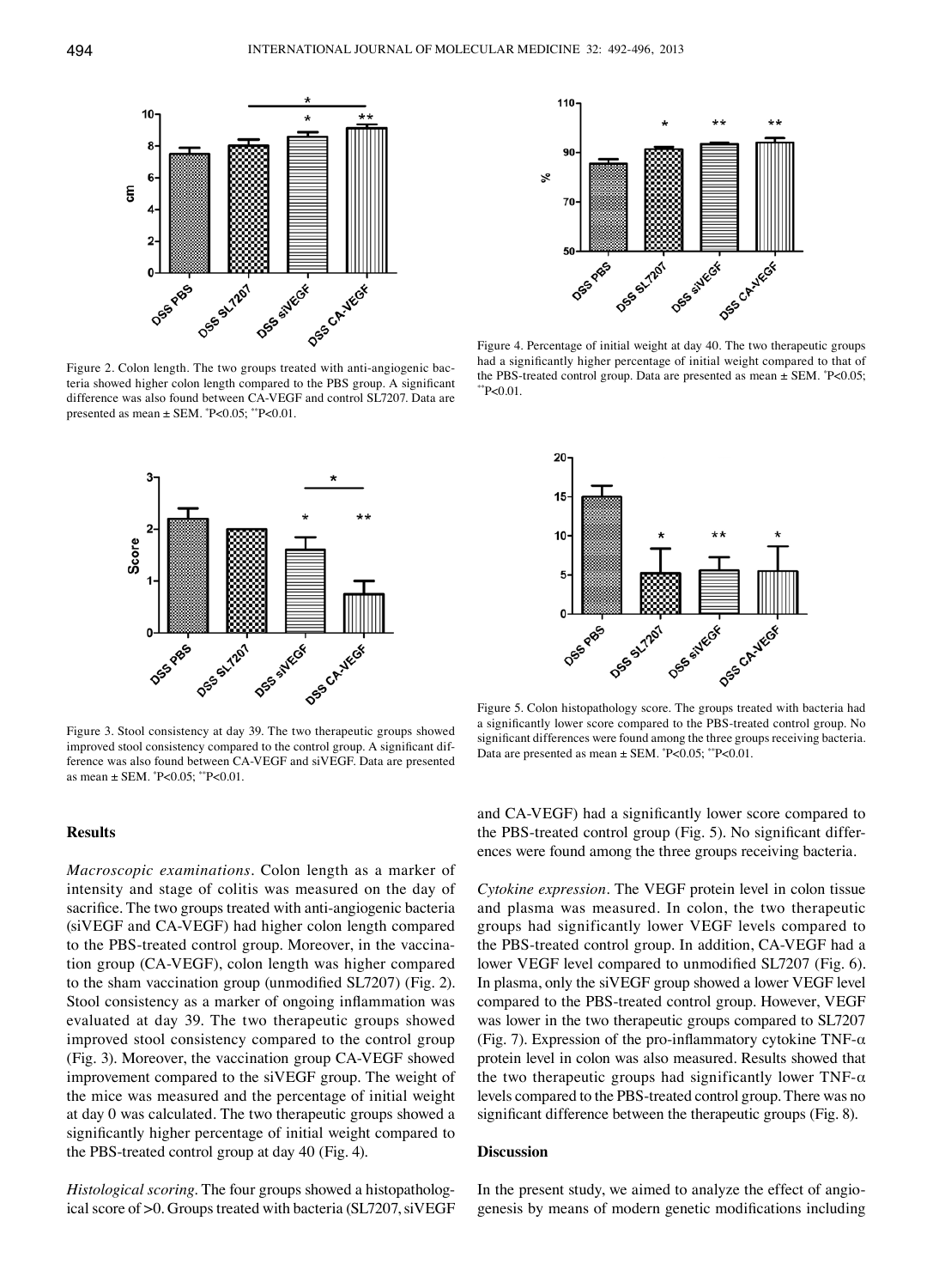

Figure 2. Colon length. The two groups treated with anti-angiogenic bacteria showed higher colon length compared to the PBS group. A significant difference was also found between CA-VEGF and control SL7207. Data are presented as mean  $\pm$  SEM.  $\degree$ P<0.05;  $\degree$ <sup>\*</sup>P<0.01.



Figure 3. Stool consistency at day 39. The two therapeutic groups showed improved stool consistency compared to the control group. A significant difference was also found between CA-VEGF and siVEGF. Data are presented as mean ± SEM. \* P<0.05; \*\*P<0.01.

# **Results**

*Macroscopic examinations.* Colon length as a marker of intensity and stage of colitis was measured on the day of sacrifice. The two groups treated with anti-angiogenic bacteria (siVEGF and CA-VEGF) had higher colon length compared to the PBS‑treated control group. Moreover, in the vaccination group (CA-VEGF), colon length was higher compared to the sham vaccination group (unmodified SL7207) (Fig. 2). Stool consistency as a marker of ongoing inflammation was evaluated at day 39. The two therapeutic groups showed improved stool consistency compared to the control group (Fig. 3). Moreover, the vaccination group CA-VEGF showed improvement compared to the siVEGF group. The weight of the mice was measured and the percentage of initial weight at day 0 was calculated. The two therapeutic groups showed a significantly higher percentage of initial weight compared to the PBS-treated control group at day 40 (Fig. 4).

*Histological scoring.* The four groups showed a histopathological score of >0. Groups treated with bacteria (SL7207, siVEGF



Figure 4. Percentage of initial weight at day 40. The two therapeutic groups had a significantly higher percentage of initial weight compared to that of the PBS-treated control group. Data are presented as mean  $\pm$  SEM.  $^*$ P<0.05; \*\*P<0.01.



Figure 5. Colon histopathology score. The groups treated with bacteria had a significantly lower score compared to the PBS-treated control group. No significant differences were found among the three groups receiving bacteria. Data are presented as mean  $\pm$  SEM.  $\degree$ P<0.05;  $\degree$ <sup>\*</sup>P<0.01.

and CA-VEGF) had a significantly lower score compared to the PBS‑treated control group (Fig. 5). No significant differences were found among the three groups receiving bacteria.

*Cytokine expression.* The VEGF protein level in colon tissue and plasma was measured. In colon, the two therapeutic groups had significantly lower VEGF levels compared to the PBS-treated control group. In addition, CA-VEGF had a lower VEGF level compared to unmodified SL7207 (Fig. 6). In plasma, only the siVEGF group showed a lower VEGF level compared to the PBS-treated control group. However, VEGF was lower in the two therapeutic groups compared to SL7207 (Fig. 7). Expression of the pro-inflammatory cytokine TNF- $\alpha$ protein level in colon was also measured. Results showed that the two therapeutic groups had significantly lower TNF- $\alpha$ levels compared to the PBS-treated control group. There was no significant difference between the therapeutic groups (Fig. 8).

#### **Discussion**

In the present study, we aimed to analyze the effect of angiogenesis by means of modern genetic modifications including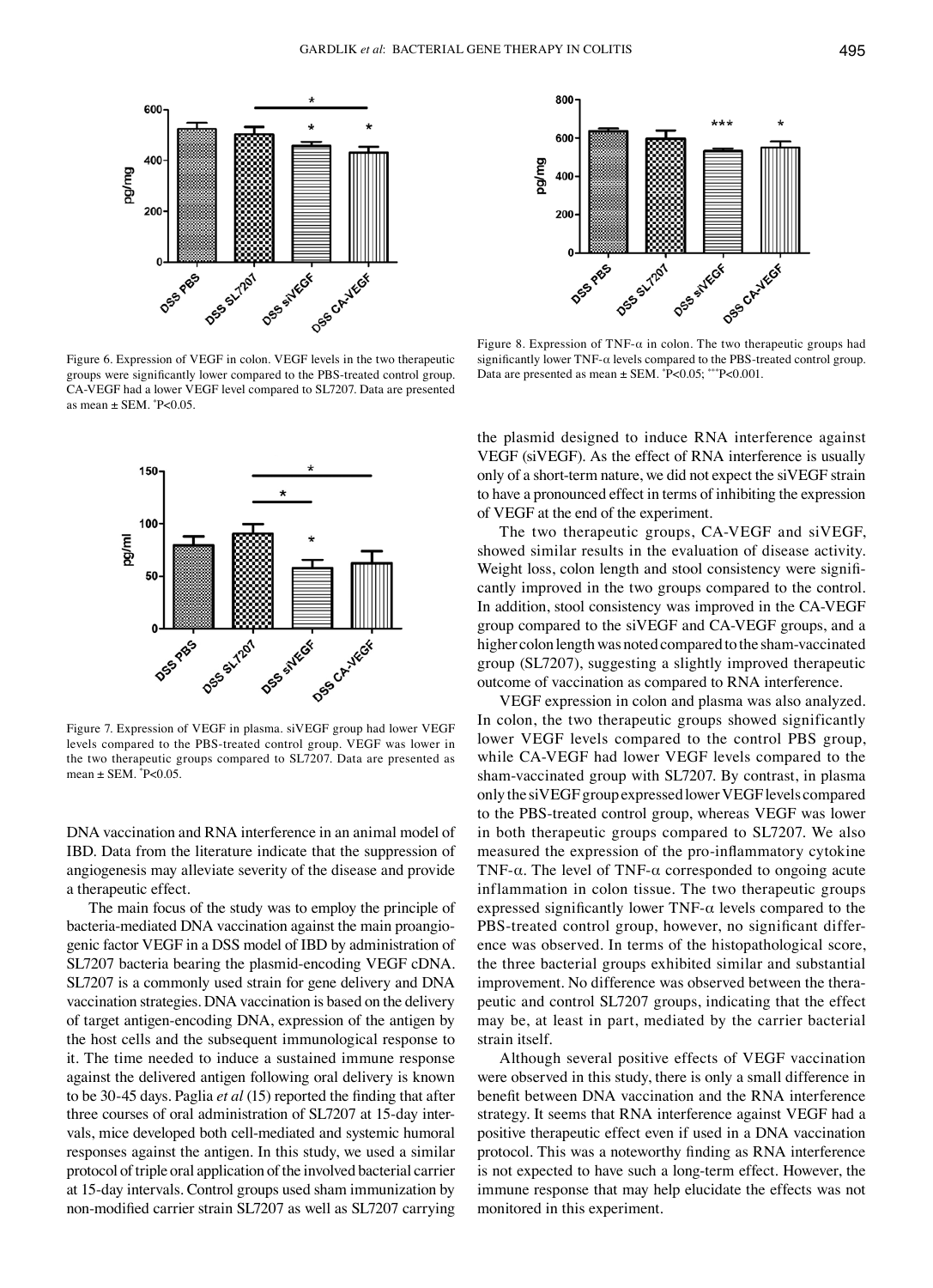

Figure 6. Expression of VEGF in colon. VEGF levels in the two therapeutic groups were significantly lower compared to the PBS-treated control group. CA-VEGF had a lower VEGF level compared to SL7207. Data are presented as mean ± SEM. \* P<0.05.



Figure 7. Expression of VEGF in plasma. siVEGF group had lower VEGF levels compared to the PBS-treated control group. VEGF was lower in the two therapeutic groups compared to SL7207. Data are presented as mean ± SEM. \* P<0.05.

DNA vaccination and RNA interference in an animal model of IBD. Data from the literature indicate that the suppression of angiogenesis may alleviate severity of the disease and provide a therapeutic effect.

The main focus of the study was to employ the principle of bacteria-mediated DNA vaccination against the main proangiogenic factor VEGF in a DSS model of IBD by administration of SL7207 bacteria bearing the plasmid-encoding VEGF cDNA. SL7207 is a commonly used strain for gene delivery and DNA vaccination strategies. DNA vaccination is based on the delivery of target antigen-encoding DNA, expression of the antigen by the host cells and the subsequent immunological response to it. The time needed to induce a sustained immune response against the delivered antigen following oral delivery is known to be 30-45 days. Paglia *et al* (15) reported the finding that after three courses of oral administration of SL7207 at 15-day intervals, mice developed both cell-mediated and systemic humoral responses against the antigen. In this study, we used a similar protocol of triple oral application of the involved bacterial carrier at 15-day intervals. Control groups used sham immunization by non‑modified carrier strain SL7207 as well as SL7207 carrying



Figure 8. Expression of TNF- $\alpha$  in colon. The two therapeutic groups had significantly lower TNF- $\alpha$  levels compared to the PBS-treated control group. Data are presented as mean  $\pm$  SEM.  $\degree$ P<0.05;  $\degree$  P<0.001.

the plasmid designed to induce RNA interference against VEGF (siVEGF). As the effect of RNA interference is usually only of a short-term nature, we did not expect the siVEGF strain to have a pronounced effect in terms of inhibiting the expression of VEGF at the end of the experiment.

The two therapeutic groups, CA-VEGF and siVEGF, showed similar results in the evaluation of disease activity. Weight loss, colon length and stool consistency were significantly improved in the two groups compared to the control. In addition, stool consistency was improved in the CA-VEGF group compared to the siVEGF and CA-VEGF groups, and a higher colon length was noted compared to the sham-vaccinated group (SL7207), suggesting a slightly improved therapeutic outcome of vaccination as compared to RNA interference.

VEGF expression in colon and plasma was also analyzed. In colon, the two therapeutic groups showed significantly lower VEGF levels compared to the control PBS group, while CA-VEGF had lower VEGF levels compared to the sham-vaccinated group with SL7207. By contrast, in plasma only the siVEGF group expressed lower VEGF levels compared to the PBS‑treated control group, whereas VEGF was lower in both therapeutic groups compared to SL7207. We also measured the expression of the pro-inflammatory cytokine TNF- $\alpha$ . The level of TNF- $\alpha$  corresponded to ongoing acute inflammation in colon tissue. The two therapeutic groups expressed significantly lower TNF- $\alpha$  levels compared to the PBS-treated control group, however, no significant difference was observed. In terms of the histopathological score, the three bacterial groups exhibited similar and substantial improvement. No difference was observed between the therapeutic and control SL7207 groups, indicating that the effect may be, at least in part, mediated by the carrier bacterial strain itself.

Although several positive effects of VEGF vaccination were observed in this study, there is only a small difference in benefit between DNA vaccination and the RNA interference strategy. It seems that RNA interference against VEGF had a positive therapeutic effect even if used in a DNA vaccination protocol. This was a noteworthy finding as RNA interference is not expected to have such a long-term effect. However, the immune response that may help elucidate the effects was not monitored in this experiment.